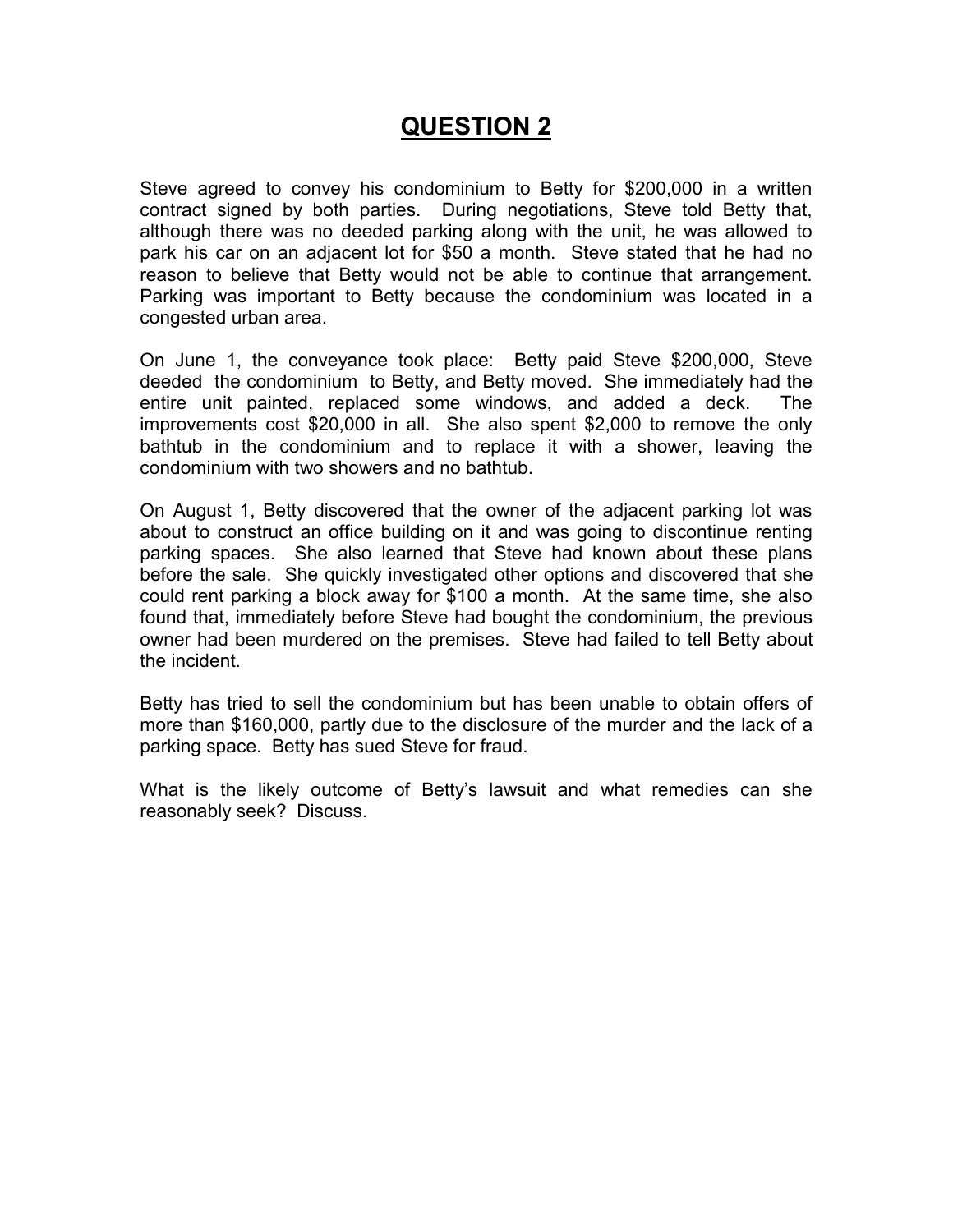# **QUESTION 2**

Steve agreed to convey his condominium to Betty for \$200,000 in a written contract signed by both parties. During negotiations, Steve told Betty that, although there was no deeded parking along with the unit, he was allowed to park his car on an adjacent lot for \$50 a month. Steve stated that he had no reason to believe that Betty would not be able to continue that arrangement. Parking was important to Betty because the condominium was located in a congested urban area.

On June 1, the conveyance took place: Betty paid Steve \$200,000, Steve deeded the condominium to Betty, and Betty moved. She immediately had the entire unit painted, replaced some windows, and added a deck. The improvements cost \$20,000 in all. She also spent \$2,000 to remove the only bathtub in the condominium and to replace it with a shower, leaving the condominium with two showers and no bathtub.

On August 1, Betty discovered that the owner of the adjacent parking lot was about to construct an office building on it and was going to discontinue renting parking spaces. She also learned that Steve had known about these plans before the sale. She quickly investigated other options and discovered that she could rent parking a block away for \$100 a month. At the same time, she also found that, immediately before Steve had bought the condominium, the previous owner had been murdered on the premises. Steve had failed to tell Betty about the incident.

Betty has tried to sell the condominium but has been unable to obtain offers of more than \$160,000, partly due to the disclosure of the murder and the lack of a parking space. Betty has sued Steve for fraud.

What is the likely outcome of Betty's lawsuit and what remedies can she reasonably seek? Discuss.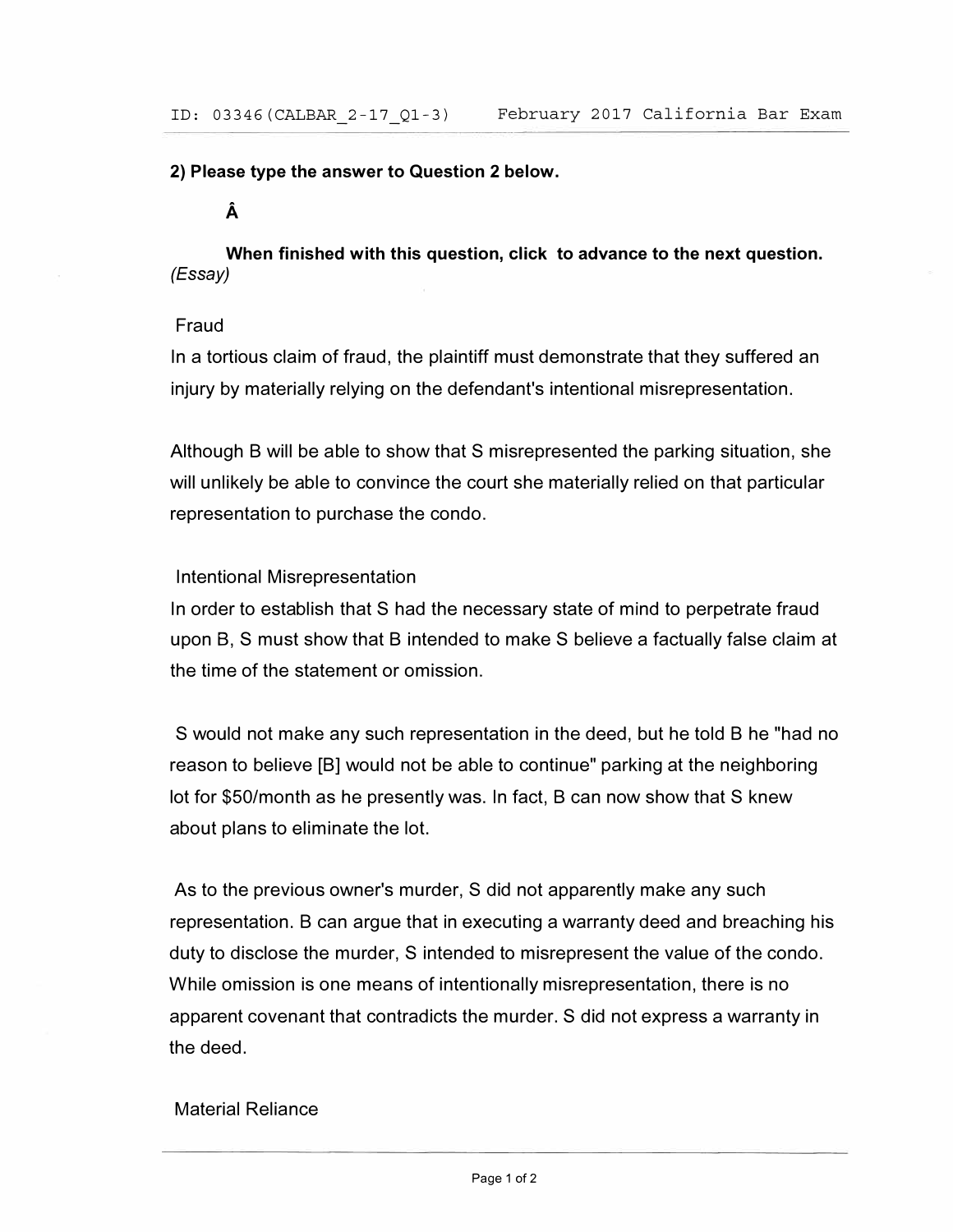#### **2) Please type the answer to Question 2 below.**

## **A**

**When finished with this question, click to advance to the next question.**  *(Essay)* 

### Fraud

In a tortious claim of fraud, the plaintiff must demonstrate that they suffered an injury by materially relying on the defendant's intentional misrepresentation.

Although B will be able to show that S misrepresented the parking situation, she will unlikely be able to convince the court she materially relied on that particular representation to purchase the condo.

### Intentional Misrepresentation

In order to establish that S had the necessary state of mind to perpetrate fraud upon B, S must show that B intended to make S believe a factually false claim at the time of the statement or omission.

S would not make any such representation in the deed, but he told B he "had no reason to believe [BJ would not be able to continue" parking at the neighboring lot for \$50/month as he presently was. In fact, B can now show that S knew about plans to eliminate the lot.

As to the previous owner's murder, S did not apparently make any such representation. B can argue that in executing a warranty deed and breaching his duty to disclose the murder, S intended to misrepresent the value of the condo. While omission is one means of intentionally misrepresentation, there is no apparent covenant that contradicts the murder. S did not express a warranty in the deed.

### Material Reliance